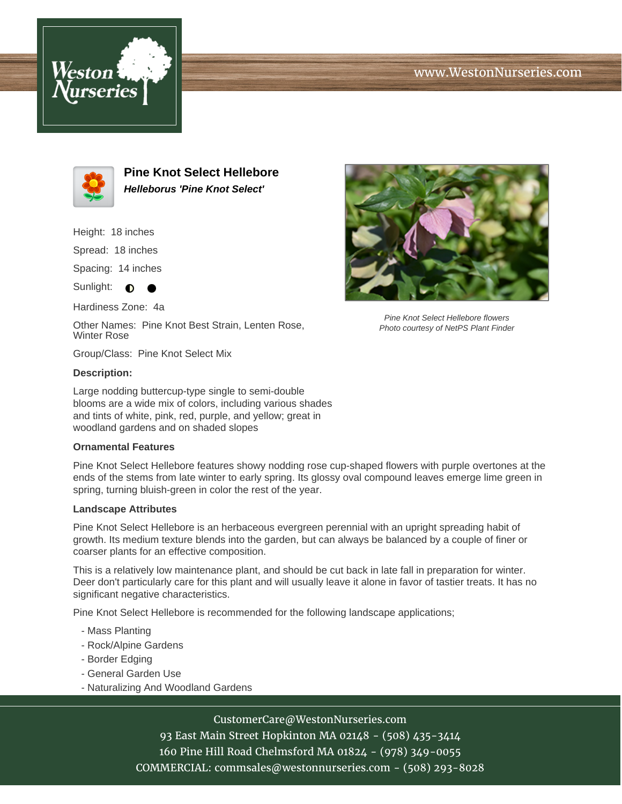





**Pine Knot Select Hellebore Helleborus 'Pine Knot Select'**

Height: 18 inches

Spread: 18 inches

Spacing: 14 inches

Sunlight:  $\bullet$  $\bullet$ 

Hardiness Zone: 4a

Other Names: Pine Knot Best Strain, Lenten Rose, Winter Rose

Group/Class: Pine Knot Select Mix

### **Description:**

Large nodding buttercup-type single to semi-double blooms are a wide mix of colors, including various shades and tints of white, pink, red, purple, and yellow; great in woodland gardens and on shaded slopes

## **Ornamental Features**

Pine Knot Select Hellebore features showy nodding rose cup-shaped flowers with purple overtones at the ends of the stems from late winter to early spring. Its glossy oval compound leaves emerge lime green in spring, turning bluish-green in color the rest of the year.

#### **Landscape Attributes**

Pine Knot Select Hellebore is an herbaceous evergreen perennial with an upright spreading habit of growth. Its medium texture blends into the garden, but can always be balanced by a couple of finer or coarser plants for an effective composition.

This is a relatively low maintenance plant, and should be cut back in late fall in preparation for winter. Deer don't particularly care for this plant and will usually leave it alone in favor of tastier treats. It has no significant negative characteristics.

Pine Knot Select Hellebore is recommended for the following landscape applications;

- Mass Planting
- Rock/Alpine Gardens
- Border Edging
- General Garden Use
- Naturalizing And Woodland Gardens

# CustomerCare@WestonNurseries.com

93 East Main Street Hopkinton MA 02148 - (508) 435-3414 160 Pine Hill Road Chelmsford MA 01824 - (978) 349-0055 COMMERCIAL: commsales@westonnurseries.com - (508) 293-8028



Pine Knot Select Hellebore flowers Photo courtesy of NetPS Plant Finder